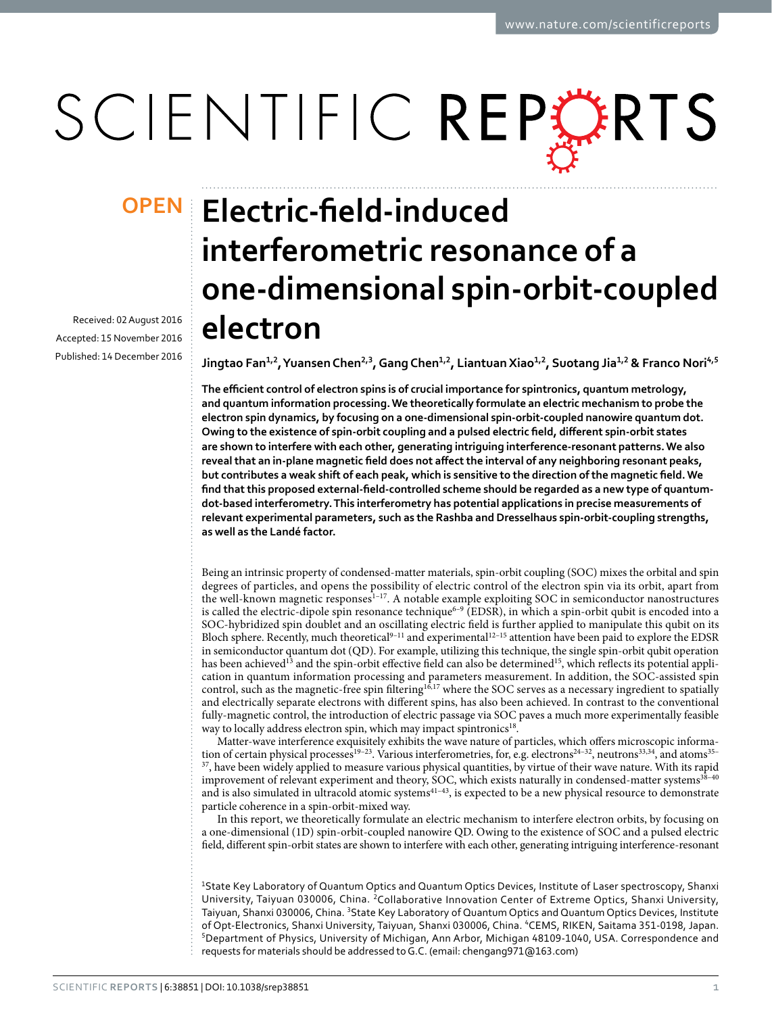# SCIENTIFIC REPERTS

Received: 02 August 2016 accepted: 15 November 2016 Published: 14 December 2016

## **Electric-field-induced OPENinterferometric resonance of a one-dimensional spin-orbit-coupled electron**

**Jingtao Fan1,2, YuansenChen2,3, GangChen1,2, LiantuanXiao1,2, Suotang Jia1,2 & Franco Nori4,<sup>5</sup>**

**The efficient control of electron spins is of crucial importance for spintronics, quantum metrology, and quantum information processing. We theoretically formulate an electric mechanism to probe the electron spin dynamics, by focusing on a one-dimensional spin-orbit-coupled nanowire quantum dot. Owing to the existence of spin-orbit coupling and a pulsed electric field, different spin-orbit states are shown to interfere with each other, generating intriguing interference-resonant patterns. We also reveal that an in-plane magnetic field does not affect the interval of any neighboring resonant peaks, but contributes a weak shift of each peak, which is sensitive to the direction of the magnetic field. We find that this proposed external-field-controlled scheme should be regarded as a new type of quantumdot-based interferometry. This interferometry has potential applications in precise measurements of relevant experimental parameters, such as the Rashba and Dresselhaus spin-orbit-coupling strengths, as well as the Landé factor.**

Being an intrinsic property of condensed-matter materials, spin-orbit coupling (SOC) mixes the orbital and spin degrees of particles, and opens the possibility of electric control of the electron spin via its orbit, apart from the well-known magnetic responses<sup>1–17</sup>. A notable example exploiting SOC in semiconductor nanostructures is called the electric-dipole spin resonance technique<sup>6-9</sup> (EDSR), in which a spin-orbit qubit is encoded into a SOC-hybridized spin doublet and an oscillating electric field is further applied to manipulate this qubit on its Bloch sphere. Recently, much theoretical[9–11](#page-10-2) and experimental[12–15](#page-10-3) attention have been paid to explore the EDSR in semiconductor quantum dot (QD). For example, utilizing this technique, the single spin-orbit qubit operation has been achieved<sup>[13](#page-10-4)</sup> and the spin-orbit effective field can also be determined<sup>[15](#page-10-5)</sup>, which reflects its potential application in quantum information processing and parameters measurement. In addition, the SOC-assisted spin control, such as the magnetic-free spin filtering<sup>[16](#page-10-6),17</sup> where the SOC serves as a necessary ingredient to spatially and electrically separate electrons with different spins, has also been achieved. In contrast to the conventional fully-magnetic control, the introduction of electric passage via SOC paves a much more experimentally feasible way to locally address electron spin, which may impact spintronics<sup>[18](#page-10-8)</sup>.

Matter-wave interference exquisitely exhibits the wave nature of particles, which offers microscopic informa-tion of certain physical processes<sup>19-23</sup>. Various interferometries, for, e.g. electrons<sup>24-32</sup>, neutrons<sup>[33](#page-11-0),[34](#page-11-1)</sup>, and atoms<sup>35-</sup>  $37$ , have been widely applied to measure various physical quantities, by virtue of their wave nature. With its rapid improvement of relevant experiment and theory, SOC, which exists naturally in condensed-matter systems<sup>38-40</sup> and is also simulated in ultracold atomic systems<sup>41-43</sup>, is expected to be a new physical resource to demonstrate particle coherence in a spin-orbit-mixed way.

In this report, we theoretically formulate an electric mechanism to interfere electron orbits, by focusing on a one-dimensional (1D) spin-orbit-coupled nanowire QD. Owing to the existence of SOC and a pulsed electric field, different spin-orbit states are shown to interfere with each other, generating intriguing interference-resonant

<sup>1</sup>State Key Laboratory of Quantum Optics and Quantum Optics Devices, Institute of Laser spectroscopy, Shanxi University, Taiyuan 030006, China. 2Collaborative Innovation Center of Extreme Optics, Shanxi University, Taiyuan, Shanxi 030006, China. <sup>3</sup>State Key Laboratory of Quantum Optics and Quantum Optics Devices, Institute of Opt-Electronics, Shanxi University, Taiyuan, Shanxi 030006, China. <sup>4</sup>CEMS, RIKEN, Saitama 351-0198, Japan.<br><sup>5</sup>Department of Physics, University of Michigan, Ann Arbor, Michigan 48109-1040, USA. Correspondence and requests for materials should be addressed to G.C. (email: [chengang971@163.com\)](mailto:chengang971@163.com)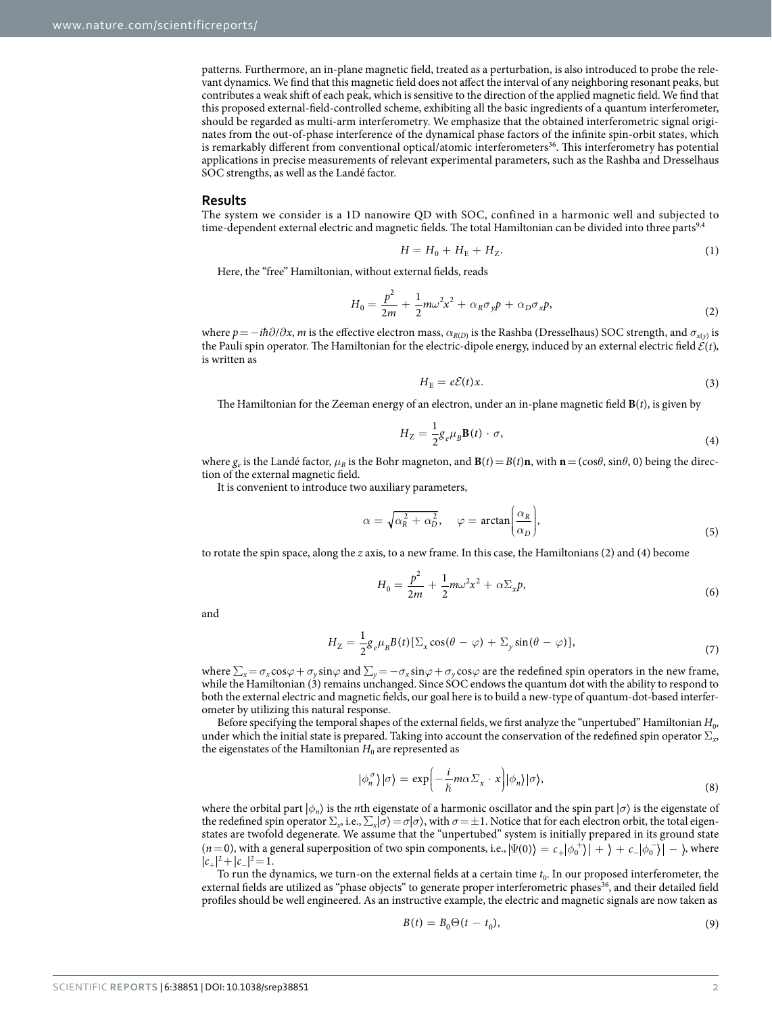patterns. Furthermore, an in-plane magnetic field, treated as a perturbation, is also introduced to probe the relevant dynamics. We find that this magnetic field does not affect the interval of any neighboring resonant peaks, but contributes a weak shift of each peak, which is sensitive to the direction of the applied magnetic field. We find that this proposed external-field-controlled scheme, exhibiting all the basic ingredients of a quantum interferometer, should be regarded as multi-arm interferometry. We emphasize that the obtained interferometric signal originates from the out-of-phase interference of the dynamical phase factors of the infinite spin-orbit states, which is remarkably different from conventional optical/atomic interferometers<sup>36</sup>. This interferometry has potential applications in precise measurements of relevant experimental parameters, such as the Rashba and Dresselhaus SOC strengths, as well as the Landé factor.

#### **Results**

The system we consider is a 1D nanowire QD with SOC, confined in a harmonic well and subjected to time-dependent external electric and magnetic fields. The total Hamiltonian can be divided into three parts<sup>[9,](#page-10-2)[4](#page-10-11)</sup>

$$
H = H_0 + H_E + H_Z.
$$
 (1)

Here, the "free" Hamiltonian, without external fields, reads

$$
H_0 = \frac{p^2}{2m} + \frac{1}{2}m\omega^2 x^2 + \alpha_R \sigma_y p + \alpha_D \sigma_x p, \tag{2}
$$

where *p*=−*iħ*∂/∂*x*, *m* is the effective electron mass, *α<sup>R</sup>*(*<sup>D</sup>*) is the Rashba (Dresselhaus) SOC strength, and *σ<sup>x</sup>*(*<sup>y</sup>*) is the Pauli spin operator. The Hamiltonian for the electric-dipole energy, induced by an external electric field  $\mathcal{E}(t)$ , is written as

$$
H_{\rm E}=e\mathcal{E}(t)x.\tag{3}
$$

The Hamiltonian for the Zeeman energy of an electron, under an in-plane magnetic field **B**(*t*), is given by

$$
H_Z = \frac{1}{2} g_e \mu_B \mathbf{B}(t) \cdot \sigma,
$$
\n(4)

where  $g_e$  is the Landé factor,  $\mu_B$  is the Bohr magneton, and  $\mathbf{B}(t) = B(t)\mathbf{n}$ , with  $\mathbf{n} = (\cos\theta, \sin\theta, 0)$  being the direction of the external magnetic field.

It is convenient to introduce two auxiliary parameters,

$$
\alpha = \sqrt{\alpha_R^2 + \alpha_D^2}, \quad \varphi = \arctan\bigg(\frac{\alpha_R}{\alpha_D}\bigg),\tag{5}
$$

to rotate the spin space, along the *z* axis, to a new frame. In this case, the Hamiltonians (2) and (4) become

$$
H_0 = \frac{p^2}{2m} + \frac{1}{2}m\omega^2 x^2 + \alpha \Sigma_x p,
$$
\n<sup>(6)</sup>

and

$$
H_Z = \frac{1}{2} g_e \mu_B B(t) [\Sigma_x \cos(\theta - \varphi) + \Sigma_y \sin(\theta - \varphi)], \tag{7}
$$

where  $\sum_{x} = \sigma_x \cos \varphi + \sigma_y \sin \varphi$  and  $\sum_{y} = -\sigma_x \sin \varphi + \sigma_y \cos \varphi$  are the redefined spin operators in the new frame, while the Hamiltonian (3) remains unchanged. Since SOC endows the quantum dot with the ability to respond to both the external electric and magnetic fields, our goal here is to build a new-type of quantum-dot-based interferometer by utilizing this natural response.

Before specifying the temporal shapes of the external fields, we first analyze the "unpertubed" Hamiltonian *H*0, under which the initial state is prepared. Taking into account the conservation of the redefined spin operator  $\Sigma$ <sub>*x*</sub>, the eigenstates of the Hamiltonian  $H_0$  are represented as

$$
|\phi_n^{\sigma}\rangle|\sigma\rangle = \exp\left(-\frac{i}{\hbar}m\alpha\Sigma_x \cdot x\right)|\phi_n\rangle|\sigma\rangle,\tag{8}
$$

where the orbital part  $|\phi_n\rangle$  is the *n*th eigenstate of a harmonic oscillator and the spin part  $|\sigma\rangle$  is the eigenstate of the redefined spin operator  $\Sigma_x$ , i.e.,  $\Sigma_x$ /*σ*) = *σ*|*σ*), with *σ* = ±1. Notice that for each electron orbit, the total eigenstates are twofold degenerate. We assume that the "unpertubed" system is initially prepared in its ground state  $(n=0)$ , with a general superposition of two spin components, i.e.,  $|\Psi(0)\rangle = c_+ |\phi_0^+\rangle | + \rangle + c_- |\phi_0^-\rangle | - \rangle$ , where  $|c_+|^2 + |c_-|^2 = 1.$ 

To run the dynamics, we turn-on the external fields at a certain time  $t_0$ . In our proposed interferometer, the external fields are utilized as "phase objects" to generate proper interferometric phases<sup>36</sup>, and their detailed field profiles should be well engineered. As an instructive example, the electric and magnetic signals are now taken as

$$
B(t) = B_0 \Theta(t - t_0),\tag{9}
$$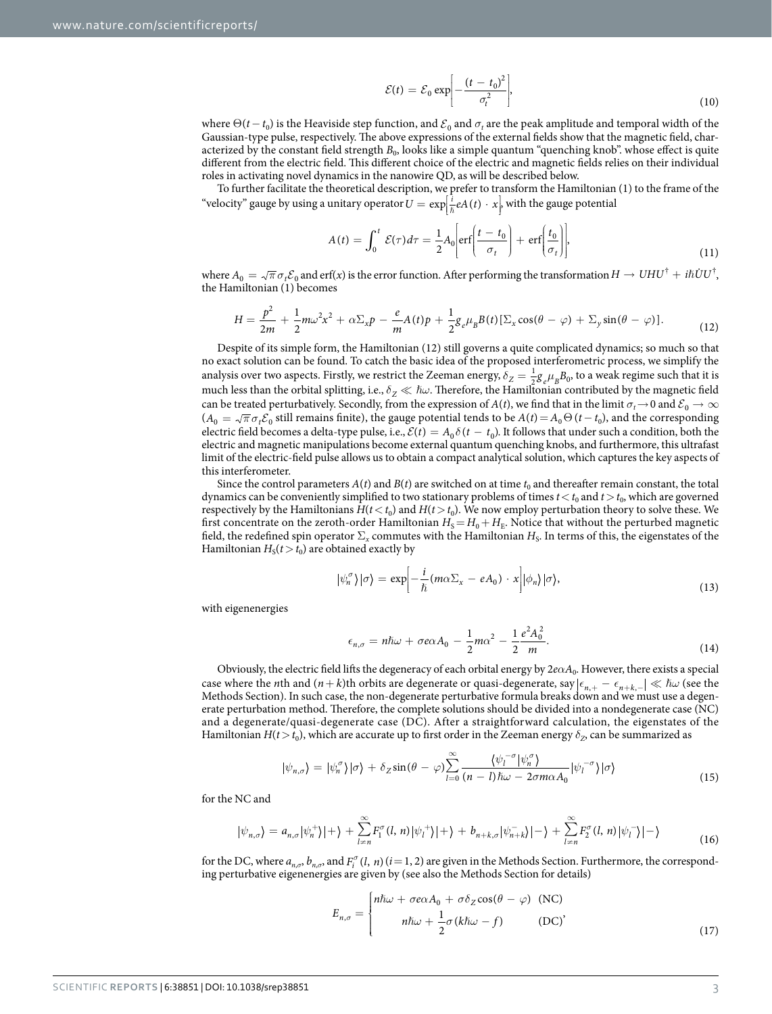$$
\mathcal{E}(t) = \mathcal{E}_0 \exp\left[-\frac{(t - t_0)^2}{\sigma_t^2}\right],\tag{10}
$$

where  $\Theta(t - t_0)$  is the Heaviside step function, and  $\mathcal{E}_0$  and  $\sigma_t$  are the peak amplitude and temporal width of the Gaussian-type pulse, respectively. The above expressions of the external fields show that the magnetic field, characterized by the constant field strength  $B_0$ , looks like a simple quantum "quenching knob". whose effect is quite different from the electric field. This different choice of the electric and magnetic fields relies on their individual roles in activating novel dynamics in the nanowire QD, as will be described below.

To further facilitate the theoretical description, we prefer to transform the Hamiltonian (1) to the frame of the "velocity" gauge by using a unitary operator  $U = \exp\left[\frac{i}{\hbar}eA(t) \cdot x\right]$ , with the gauge potential Į  $\ddot{\phantom{a}}$ 

$$
A(t) = \int_0^t \mathcal{E}(\tau) d\tau = \frac{1}{2} A_0 \left[ erf \left( \frac{t - t_0}{\sigma_t} \right) + erf \left( \frac{t_0}{\sigma_t} \right) \right],
$$
\n(11)

where  $A_0 = \sqrt{\pi} \sigma_t \mathcal{E}_0$  and erf(*x*) is the error function. After performing the transformation  $H \to U H U^{\dagger} + i \hbar \dot{U} U^{\dagger}$ , the Hamiltonian (1) becomes

$$
H = \frac{p^2}{2m} + \frac{1}{2}m\omega^2 x^2 + \alpha \Sigma_x p - \frac{e}{m}A(t)p + \frac{1}{2}g_e\mu_B B(t)[\Sigma_x \cos(\theta - \varphi) + \Sigma_y \sin(\theta - \varphi)].
$$
\n(12)

Despite of its simple form, the Hamiltonian (12) still governs a quite complicated dynamics; so much so that no exact solution can be found. To catch the basic idea of the proposed interferometric process, we simplify the analysis over two aspects. Firstly, we restrict the Zeeman energy,  $\delta_Z = \frac{1}{2} g_e \mu_B B_0$ , to a weak regime such that it is much less than the orbital splitting, i.e., *δ<sub>7</sub>*  $\ll$  *ħω*. Therefore, the Hamiltonian contributed by the magnetic field can be treated perturbatively. Secondly, from the expression of *A*(*t*), we find that in the limit  $\sigma_t \to 0$  and  $\mathcal{E}_0 \to \infty$  $(A_0 = \sqrt{\pi} \sigma_t \mathcal{E}_0$  still remains finite), the gauge potential tends to be  $A(t) = A_0 \Theta(t - t_0)$ , and the corresponding electric field becomes a delta-type pulse, i.e.,  $\mathcal{E}(t) = A_0 \delta(t - t_0)$ . It follows that under such a condition, both the electric and magnetic manipulations become external quantum quenching knobs, and furthermore, this ultrafast limit of the electric-field pulse allows us to obtain a compact analytical solution, which captures the key aspects of this interferometer.

Since the control parameters  $A(t)$  and  $B(t)$  are switched on at time  $t_0$  and thereafter remain constant, the total dynamics can be conveniently simplified to two stationary problems of times  $t < t_0$  and  $t > t_0$ , which are governed respectively by the Hamiltonians  $H(t < t_0)$  and  $H(t > t_0)$ . We now employ perturbation theory to solve these. We first concentrate on the zeroth-order Hamiltonian  $H_S = H_0 + H_E$ . Notice that without the perturbed magnetic field, the redefined spin operator  $\Sigma_x$  commutes with the Hamiltonian  $H_s$ . In terms of this, the eigenstates of the Hamiltonian  $H_S(t>t_0)$  are obtained exactly by

$$
|\psi_n^{\sigma}\rangle|\sigma\rangle = \exp\left[-\frac{i}{\hbar}(m\alpha\Sigma_x - eA_0) \cdot x\right]|\phi_n\rangle|\sigma\rangle,\tag{13}
$$

with eigenenergies

$$
\epsilon_{n,\sigma} = n\hbar\omega + \sigma e\alpha A_0 - \frac{1}{2}m\alpha^2 - \frac{1}{2}\frac{e^2A_0^2}{m}.
$$
\n(14)

Obviously, the electric field lifts the degeneracy of each orbital energy by 2*eαA*0. However, there exists a special case where the *n*th and  $(n+k)$ th orbits are degenerate or quasi-degenerate, say  $|\epsilon_{n+} - \epsilon_{n+k-}| \ll \hbar \omega$  (see the Methods Section). In such case, the non-degenerate perturbative formula breaks down and we must use a degenerate perturbation method. Therefore, the complete solutions should be divided into a nondegenerate case (NC) and a degenerate/quasi-degenerate case (DC). After a straightforward calculation, the eigenstates of the Hamiltonian *H*(*t* > *t*<sub>0</sub>), which are accurate up to first order in the Zeeman energy  $\delta$ <sub>*Z*</sub>, can be summarized as

$$
|\psi_{n,\sigma}\rangle = |\psi_n^{\sigma}\rangle|\sigma\rangle + \delta_Z \sin(\theta - \varphi) \sum_{l=0}^{\infty} \frac{\langle \psi_l^{-\sigma} | \psi_n^{\sigma} \rangle}{(n-l)\hbar\omega - 2\sigma m\alpha A_0} |\psi_l^{-\sigma}\rangle|\sigma\rangle \tag{15}
$$

for the NC and

$$
|\psi_{n,\sigma}\rangle = a_{n,\sigma} |\psi_n^{+}\rangle| + \rangle + \sum_{l=n}^{\infty} F_l^{\sigma}(l,n) |\psi_l^{+}\rangle| + \rangle + b_{n+k,\sigma} |\psi_{n+k}^{-}\rangle| - \rangle + \sum_{l=n}^{\infty} F_l^{\sigma}(l,n) |\psi_l^{-}\rangle| - \rangle \tag{16}
$$

for the DC, where  $a_{n,\sigma}$ ,  $b_{n,\sigma}$ , and  $F_i^{\sigma}(l, n)$  ( $i = 1, 2$ ) are given in the Methods Section. Furthermore, the corresponding perturbative eigenenergies are given by (see also the Methods Section for details)

$$
E_{n,\sigma} = \begin{cases} n\hbar\omega + \sigma e\alpha A_0 + \sigma \delta_Z \cos(\theta - \varphi) & (\text{NC}) \\ n\hbar\omega + \frac{1}{2}\sigma(k\hbar\omega - f) & (\text{DC})' \end{cases}
$$
(17)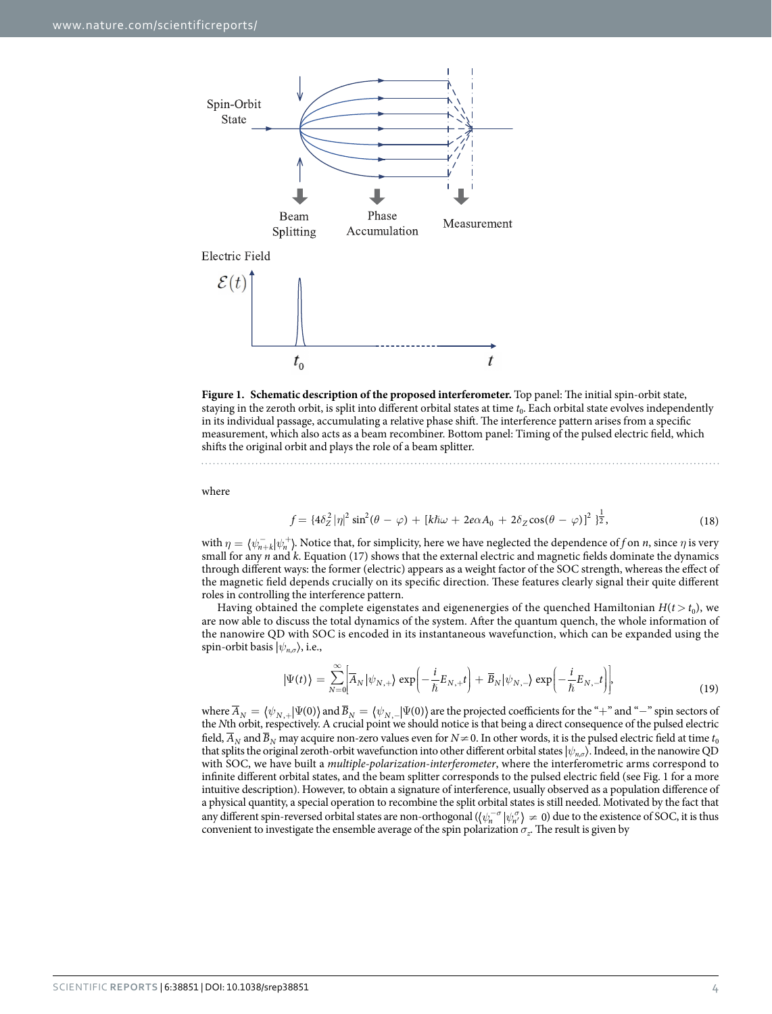

<span id="page-3-0"></span>

where

$$
f = \{4\delta_Z^2 |\eta|^2 \sin^2(\theta - \varphi) + [k\hbar\omega + 2e\alpha A_0 + 2\delta_Z \cos(\theta - \varphi)]^2 \}^{\frac{1}{2}},
$$
(18)

with  $\eta = \langle \psi_{n+k}^- | \psi_n^+ \rangle$ . Notice that, for simplicity, here we have neglected the dependence of *f* on *n*, since  $\eta$  is very small for any *n* and *k*. Equation (17) shows that the external electric and magnetic fields dominate the dynamics through different ways: the former (electric) appears as a weight factor of the SOC strength, whereas the effect of the magnetic field depends crucially on its specific direction. These features clearly signal their quite different roles in controlling the interference pattern.

Having obtained the complete eigenstates and eigenenergies of the quenched Hamiltonian  $H(t > t_0)$ , we are now able to discuss the total dynamics of the system. After the quantum quench, the whole information of the nanowire QD with SOC is encoded in its instantaneous wavefunction, which can be expanded using the spin-orbit basis  $|\psi_{n,\sigma}\rangle$ , i.e.,

$$
|\Psi(t)\rangle = \sum_{N=0}^{\infty} \Biggl[ \overline{A}_{N} |\psi_{N,+}\rangle \exp\Biggl(-\frac{i}{\hbar} E_{N,+} t\Biggr) + \overline{B}_{N} |\psi_{N,-}\rangle \exp\Biggl(-\frac{i}{\hbar} E_{N,-} t\Biggr)\Biggr],\tag{19}
$$

where  $\overline{A}_N = \langle \psi_{N,+} | \Psi (0) \rangle$  and  $\overline{B}_N = \langle \psi_{N,-} | \Psi (0) \rangle$  are the projected coefficients for the "+" and "−" spin sectors of the *N*th orbit, respectively. A crucial point we should notice is that being a direct consequence of the pulsed electric field,  $\overline{A}_N$  and  $\overline{B}_N$  may acquire non-zero values even for  $N \neq 0$ . In other words, it is the pulsed electric field at time  $t_0$ that splits the original zeroth-orbit wavefunction into other different orbital states |*ψ<sup>n</sup>*,*<sup>σ</sup>*〉. Indeed, in the nanowire QD with SOC, we have built a *multiple-polarization-interferometer*, where the interferometric arms correspond to infinite different orbital states, and the beam splitter corresponds to the pulsed electric field (see [Fig. 1](#page-3-0) for a more intuitive description). However, to obtain a signature of interference, usually observed as a population difference of a physical quantity, a special operation to recombine the split orbital states is still needed. Motivated by the fact that any different spin-reversed orbital states are non-orthogonal  $(\langle \psi_n^{\sigma} | \psi_n^{\sigma} \rangle \neq 0)$  due to the existence of SOC, it is thus convenient to investigate the ensemble average of the spin polarization  $\sigma_z$ . The result is given by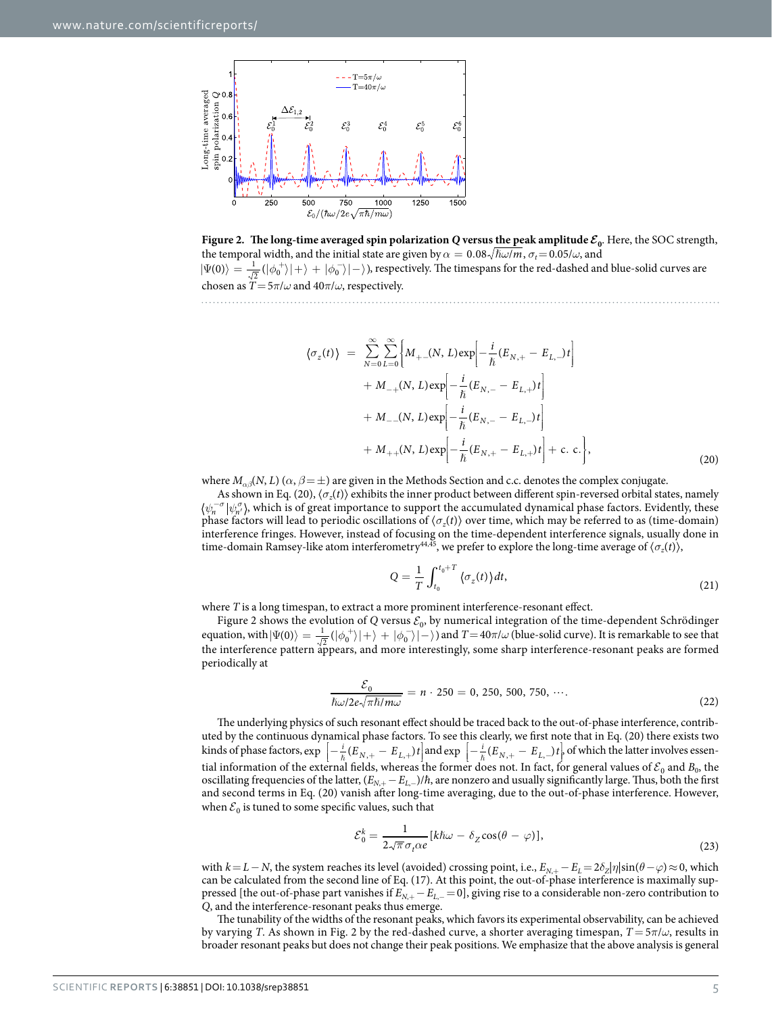

<span id="page-4-0"></span>**Figure 2.** The long-time averaged spin polarization Q versus the peak amplitude  $\mathcal{E}_0$ . Here, the SOC strength, the temporal width, and the initial state are given by  $\alpha = 0.08 \sqrt{\hbar \omega / m}$ ,  $\sigma_t = 0.05 / \omega$ , and  $|\Psi(0)\rangle=\frac{1}{\sqrt{2}}(|\phi_0^+\rangle|+\rangle+|\phi_0^-\rangle|-\rangle)$ , respectively. The timespans for the red-dashed and blue-solid curves are chosen as  $\overline{T} = 5\pi/\omega$  and  $40\pi/\omega$ , respectively.

 $\sigma_z(t)$  =  $\sum^{\infty}$   $\sum^{\infty}$  {  $\overline{\mathfrak{l}}$ ſ Į ļ į  $\sum_{i=1}^{\infty} \sum_{i=1}^{\infty} \left\{ M_{+}(N,L) \exp \left[-\frac{i}{N} (E_{N,+} - E_{L,-}) t \right] \right\}$ .  $+ M_{-+}(N, L) \exp \left(-\frac{i}{\hbar} (E_{N,-} - E_{L,+})t\right)$ Į į  $\overline{\phantom{a}}$  $\overline{\phantom{a}}$ ļ  $+ M_{--}(N, L) \exp \left[-\frac{i}{\hbar}(E_{N,-} - E_{L,-})t\right]$ Į .<br>.  $+ M_{++}(N, L) \exp \left[-\frac{i}{\kappa} (E_{N,+} - E_{L,+})t\right] + c.$  c. Į ļ į .  $M_{-+}(N, L) \exp\left[-\frac{i}{\hbar}(E_{N,-} - E_{L,+})t\right]$ <br>  $M_{--}(N, L) \exp\left[-\frac{i}{\hbar}(E_{N,-} - E_{L,-})t\right]$ <br>  $M_{++}(N, L) \exp\left[-\frac{i}{\hbar}(E_{N,+} - E_{L,+})t\right] + c. c.\right\},$  (20) = ∞  $\sum_{N=0}^{\infty} \sum_{L=0}^{\infty} \left\{ M_{+-(N,\ L) \exp \left[-\frac{i}{\hbar}(E_{N,+}-E_{L,-})t\right] \right\}$ 

where  $M_{\alpha\beta}(N, L)$  ( $\alpha, \beta = \pm$ ) are given in the Methods Section and c.c. denotes the complex conjugate.

As shown in Eq. (20),  $\langle \sigma_z(t) \rangle$  exhibits the inner product between different spin-reversed orbital states, namely  $\psi_n^{-\sigma}|\psi_{n'}^{\sigma}\rangle$ , which is of great importance to support the accumulated dynamical phase factors. Evidently, these phase factors will lead to periodic oscillations of 〈*σz*(*t*)〉 over time, which may be referred to as (time-domain) interference fringes. However, instead of focusing on the time-dependent interference signals, usually done in time-domain Ramsey-like atom interferometry<sup>44,45</sup>, we prefer to explore the long-time average of  $\langle \sigma_z(t) \rangle$ ,

$$
Q = \frac{1}{T} \int_{t_0}^{t_0 + T} \langle \sigma_z(t) \rangle dt, \tag{21}
$$

where *T* is a long timespan, to extract a more prominent interference-resonant effect.

[Figure 2](#page-4-0) shows the evolution of *Q* versus  $\mathcal{E}_0$ , by numerical integration of the time-dependent Schrödinger equation, with  $|\Psi(0)\rangle = \frac{1}{\sqrt{2}} (|\phi_0^+\rangle|+\rangle + |\phi_0^-\rangle|-\rangle)$  and  $T=40\pi/\omega$  (blue-solid curve). It is remarkable to see that the interference pattern appears, and more interestingly, some sharp interference-resonant peaks are formed periodically at

$$
\frac{\mathcal{E}_0}{\hbar \omega / 2e\sqrt{\pi \hbar / m\omega}} = n \cdot 250 = 0, 250, 500, 750, \cdots.
$$
\n(22)

The underlying physics of such resonant effect should be traced back to the out-of-phase interference, contributed by the continuous dynamical phase factors. To see this clearly, we first note that in Eq. (20) there exists two kinds of phase factors,  $\exp\left[-\frac{i}{\hbar}(E_{N,+}-E_{L,+})t\right]$  and  $\exp\left[-\frac{i}{\hbar}(E_{N,+}-E_{L,-})t\right]$  of which the latter involves essen-Į İ l İ tial information of the external fields, whereas the former does not. In fact, for general values of  $\mathcal{E}_0$  and  $B_0$ , the oscillating frequencies of the latter,  $(E_{N+} - E_{L-})/\hbar$ , are nonzero and usually significantly large. Thus, both the first and second terms in Eq. (20) vanish after long-time averaging, due to the out-of-phase interference. However, when  $\mathcal{E}_0$  is tuned to some specific values, such that

$$
\mathcal{E}_0^k = \frac{1}{2\sqrt{\pi}\sigma_t \alpha e} [k\hbar\omega - \delta_Z \cos(\theta - \varphi)],
$$
\n(23)

with  $k = L - N$ , the system reaches its level (avoided) crossing point, i.e.,  $E_{N,+} - E_L = 2\delta_Z|\eta| \sin(\theta - \varphi) \approx 0$ , which can be calculated from the second line of Eq. (17). At this point, the out-of-phase interference is maximally suppressed [the out-of-phase part vanishes if *EN*,<sup>+</sup> −*EL*,<sup>−</sup> =0], giving rise to a considerable non-zero contribution to *Q*, and the interference-resonant peaks thus emerge.

The tunability of the widths of the resonant peaks, which favors its experimental observability, can be achieved by varying *T*. As shown in [Fig. 2](#page-4-0) by the red-dashed curve, a shorter averaging timespan, *T* = 5*π*/*ω*, results in broader resonant peaks but does not change their peak positions. We emphasize that the above analysis is general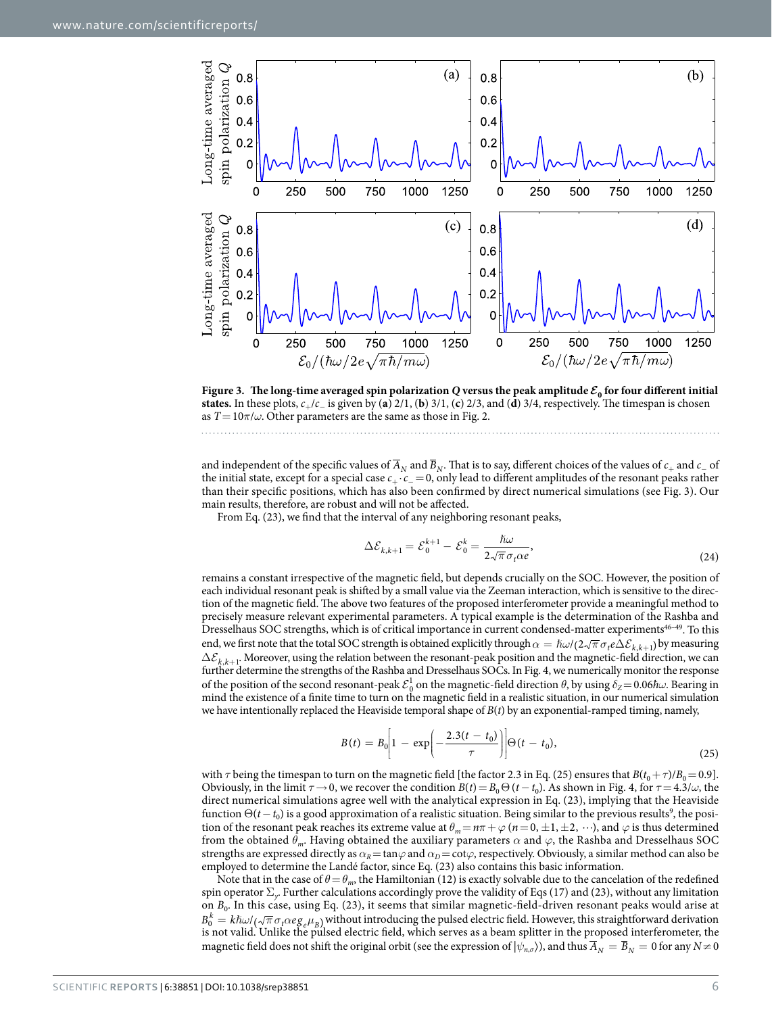

<span id="page-5-0"></span>**Figure 3.** The long-time averaged spin polarization Q versus the peak amplitude  $\mathcal{E}_0$  for four different initial **states.** In these plots,  $c_+/c_-$  is given by (**a**) 2/1, (**b**) 3/1, (**c**) 2/3, and (**d**) 3/4, respectively. The timespan is chosen as  $T=10\pi/\omega$ . Other parameters are the same as those in [Fig. 2](#page-4-0).

and independent of the specific values of  $\overline{A}_N$  and  $\overline{B}_N$ . That is to say, different choices of the values of  $c_+$  and  $c_-$  of the initial state, except for a special case *c*<sup>+</sup> ·*c*<sup>−</sup> =0, only lead to different amplitudes of the resonant peaks rather than their specific positions, which has also been confirmed by direct numerical simulations (see [Fig. 3](#page-5-0)). Our main results, therefore, are robust and will not be affected.

From Eq. (23), we find that the interval of any neighboring resonant peaks,

$$
\Delta \mathcal{E}_{k,k+1} = \mathcal{E}_0^{k+1} - \mathcal{E}_0^k = \frac{\hbar \omega}{2\sqrt{\pi} \sigma_t \alpha e},\tag{24}
$$

remains a constant irrespective of the magnetic field, but depends crucially on the SOC. However, the position of each individual resonant peak is shifted by a small value via the Zeeman interaction, which is sensitive to the direction of the magnetic field. The above two features of the proposed interferometer provide a meaningful method to precisely measure relevant experimental parameters. A typical example is the determination of the Rashba and Dresselhaus SOC strengths, which is of critical importance in current condensed-matter experiments<sup>46-49</sup>. To this end, we first note that the total SOC strength is obtained explicitly through  $\alpha = \hbar \omega / (2 \sqrt{\pi} \sigma_t e \Delta \mathcal{E}_{k,k+1})$  by measuring  $\Delta \mathcal{E}_{k,k+1}$ . Moreover, using the relation between the resonant-peak position and the magnetic-field direction, we can further determine the strengths of the Rashba and Dresselhaus SOCs. In [Fig. 4](#page-6-0), we numerically monitor the response of the position of the second resonant-peak  $\mathcal{E}^1_\rho$  on the magnetic-field direction  $\theta$ , by using  $\delta_Z = 0.06 \hbar \omega$ . Bearing in mind the existence of a finite time to turn on the magnetic field in a realistic situation, in our numerical simulation we have intentionally replaced the Heaviside temporal shape of *B*(*t*) by an exponential-ramped timing, namely,

$$
B(t) = B_0 \left[ 1 - \exp\left( -\frac{2.3(t - t_0)}{\tau} \right) \right] \Theta(t - t_0), \tag{25}
$$

with  $\tau$  being the timespan to turn on the magnetic field [the factor 2.3 in Eq. (25) ensures that  $B(t_0 + \tau)/B_0 = 0.9$ ]. Obviously, in the limit *τ*→0, we recover the condition  $B(t) = B_0 Θ(t - t_0)$ . As shown in [Fig. 4](#page-6-0), for *τ* = 4.3/*ω*, the direct numerical simulations agree well with the analytical expression in Eq. (23), implying that the Heaviside function  $\Theta(t-t_0)$  is a good approximation of a realistic situation. Being similar to the previous results<sup>9</sup>, the position of the resonant peak reaches its extreme value at  $\theta_m = n\pi + \varphi$  ( $n = 0, \pm 1, \pm 2, \cdots$ ), and  $\varphi$  is thus determined from the obtained *θm*. Having obtained the auxiliary parameters *α* and *ϕ*, the Rashba and Dresselhaus SOC strengths are expressed directly as  $\alpha_R$  = tan $\varphi$  and  $\alpha_D$  = cot $\varphi$ , respectively. Obviously, a similar method can also be employed to determine the Landé factor, since Eq. (23) also contains this basic information.

Note that in the case of  $\theta = \theta_m$ , the Hamiltonian (12) is exactly solvable due to the cancelation of the redefined spin operator Σ*y*. Further calculations accordingly prove the validity of Eqs (17) and (23), without any limitation on  $B_0$ . In this case, using Eq. (23), it seems that similar magnetic-field-driven resonant peaks would arise at  $B_0^k = k\hbar\omega/(\sqrt{\pi}\sigma_t\alpha eg_e\mu_B)$  without introducing the pulsed electric field. However, this straightforward derivation is not valid. Unlike the pulsed electric field, which serves as a beam splitter in the proposed interferometer, the magnetic field does not shift the original orbit (see the expression of  $|\psi_{n,\sigma}\rangle$ ), and thus  $\overline{A}_N = \overline{B}_N = 0$  for any  $N \neq 0$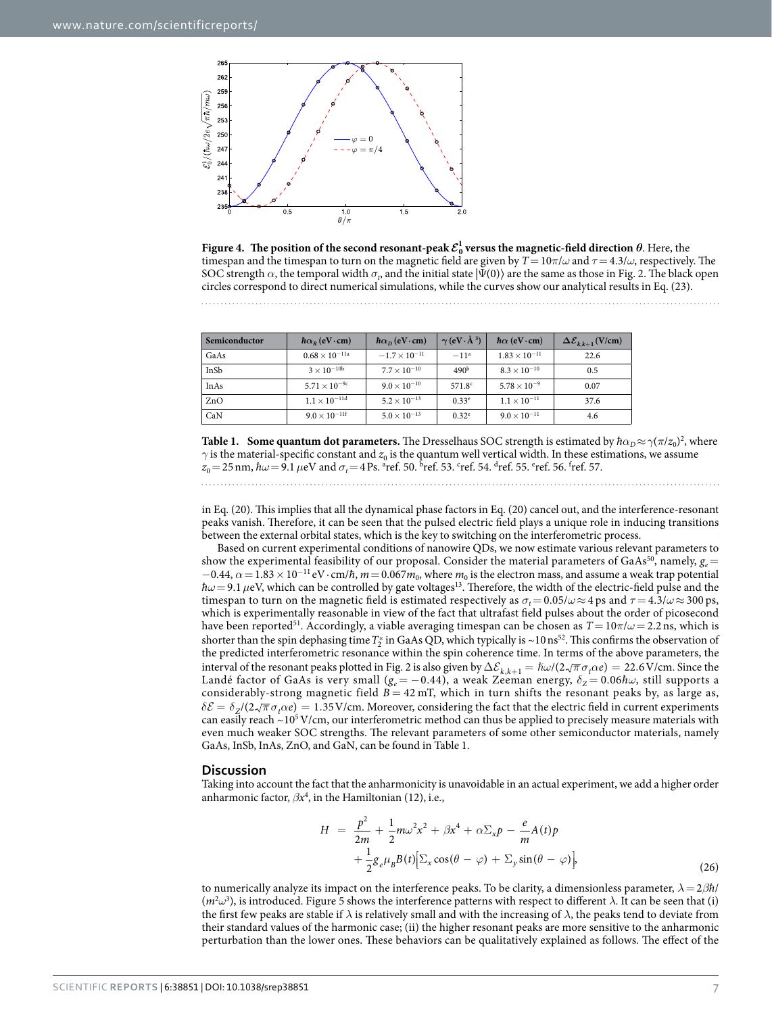

<span id="page-6-0"></span>**Figure 4.** The position of the second resonant-peak  $\mathcal{E}_0^1$  versus the magnetic-field direction  $\theta$ . Here, the timespan and the timespan to turn on the magnetic field are given by  $T=10\pi/\omega$  and  $\tau=4.3/\omega$ , respectively. The SOC strength  $\alpha$ , the temporal width  $\sigma_p$  and the initial state  $|\Psi(0)\rangle$  are the same as those in [Fig. 2.](#page-4-0) The black open circles correspond to direct numerical simulations, while the curves show our analytical results in Eq. (23).

<span id="page-6-1"></span>

| Semiconductor | $\hbar\alpha_{R}$ (eV · cm) | $\hbar\alpha_{\rm D}$ (eV · cm) | $\gamma$ (eV $\cdot$ Å <sup>3</sup> ) | $\hbar\alpha$ (eV · cm) | $\Delta \mathcal{E}_{k,k+1}$ (V/cm) |
|---------------|-----------------------------|---------------------------------|---------------------------------------|-------------------------|-------------------------------------|
| GaAs          | $0.68\times10^{-11}$ a      | $-1.7 \times 10^{-11}$          | $-11^a$                               | $1.83 \times 10^{-11}$  | 22.6                                |
| InSb          | $3 \times 10^{-10b}$        | $7.7 \times 10^{-10}$           | 490 <sup>b</sup>                      | $8.3 \times 10^{-10}$   | 0.5                                 |
| InAs          | $5.71 \times 10^{-9c}$      | $9.0\times10^{-10}$             | 571.8 <sup>c</sup>                    | $5.78 \times 10^{-9}$   | 0.07                                |
| ZnO           | $1.1 \times 10^{-11d}$      | $5.2 \times 10^{-13}$           | $0.33^e$                              | $1.1 \times 10^{-11}$   | 37.6                                |
| CaN           | $9.0 \times 10^{-11}$       | $5.0 \times 10^{-13}$           | $0.32^e$                              | $9.0 \times 10^{-11}$   | 4.6                                 |

**Table 1. Some quantum dot parameters.** The Dresselhaus SOC strength is estimated by  $\hbar\alpha_D \approx \gamma(\pi/z_0)^2$ , where  $\gamma$  is the material-specific constant and  $z_0$  is the quantum well vertical width. In these estimations, we assume  $z_0$  = 25 nm,  $\hbar\omega$  = 9.1  $\mu$ eV and  $\sigma_t$  = 4 Ps. <sup>a</sup>ref. [50.](#page-11-9) <sup>b</sup>ref. [53.](#page-11-12) <sup>c</sup>ref. [54](#page-11-13). <sup>d</sup>ref. [55.](#page-11-14) <sup>e</sup>ref. [56](#page-11-15). <sup>f</sup>ref. [57.](#page-11-16)

in Eq. (20). This implies that all the dynamical phase factors in Eq. (20) cancel out, and the interference-resonant peaks vanish. Therefore, it can be seen that the pulsed electric field plays a unique role in inducing transitions between the external orbital states, which is the key to switching on the interferometric process.

Based on current experimental conditions of nanowire QDs, we now estimate various relevant parameters to show the experimental feasibility of our proposal. Consider the material parameters of GaAs<sup>50</sup>, namely,  $g_e$  =  $-0.44$ ,  $\alpha = 1.83 \times 10^{-11}$  eV·cm/*h*,  $m = 0.067$  *m*<sub>0</sub>, where *m*<sub>0</sub> is the electron mass, and assume a weak trap potential  $\hbar\omega$  = 9.1  $\mu$ eV, which can be controlled by gate voltages<sup>13</sup>. Therefore, the width of the electric-field pulse and the timespan to turn on the magnetic field is estimated respectively as  $\sigma_t = 0.05/\omega \approx 4$  ps and  $\tau = 4.3/\omega \approx 300$  ps, which is experimentally reasonable in view of the fact that ultrafast field pulses about the order of picosecond have been reporte[d51.](#page-11-10) Accordingly, a viable averaging timespan can be chosen as *T*= 10*π*/*ω*= 2.2 ns, which is shorter than the spin dephasing time  $T_7^*$  in GaAs QD, which typically is ~10 ns<sup>52</sup>. This confirms the observation of the predicted interferometric resonance within the spin coherence time. In terms of the above parameters, the interval of the resonant peaks plotted in [Fig. 2](#page-4-0) is also given by  $\Delta \mathcal{E}_{k,k+1} = \hbar \omega / (2 \sqrt{\pi} \sigma_t \alpha e) = 22.6 \text{ V/cm}$ . Since the Landé factor of GaAs is very small (*ge* = −0.44), a weak Zeeman energy, *δ<sup>Z</sup>* = 0.06*ħω*, still supports a considerably-strong magnetic field  $B = 42$  mT, which in turn shifts the resonant peaks by, as large as,  $\delta \mathcal{E} = \delta_Z/(2\sqrt{\pi} \sigma_I \alpha e) = 1.35$  V/cm. Moreover, considering the fact that the electric field in current experiments can easily reach  $\sim$ 10<sup>5</sup>V/cm, our interferometric method can thus be applied to precisely measure materials with even much weaker SOC strengths. The relevant parameters of some other semiconductor materials, namely GaAs, InSb, InAs, ZnO, and GaN, can be found in [Table 1](#page-6-1).

### **Discussion**

Taking into account the fact that the anharmonicity is unavoidable in an actual experiment, we add a higher order anharmonic factor, *βx*<sup>4</sup> , in the Hamiltonian (12), i.e.,

$$
H = \frac{p^2}{2m} + \frac{1}{2}m\omega^2 x^2 + \beta x^4 + \alpha \Sigma_x p - \frac{e}{m}A(t)p
$$
  
+ 
$$
\frac{1}{2}g_e\mu_B B(t)\Big[\Sigma_x \cos(\theta - \varphi) + \Sigma_y \sin(\theta - \varphi)\Big],
$$
 (26)

to numerically analyze its impact on the interference peaks. To be clarity, a dimensionless parameter, *λ*= 2*βħ*/ (*m*<sup>2</sup> *ω*3 ), is introduced. [Figure 5](#page-7-0) shows the interference patterns with respect to different *λ*. It can be seen that (i) the first few peaks are stable if  $\lambda$  is relatively small and with the increasing of  $\lambda$ , the peaks tend to deviate from their standard values of the harmonic case; (ii) the higher resonant peaks are more sensitive to the anharmonic perturbation than the lower ones. These behaviors can be qualitatively explained as follows. The effect of the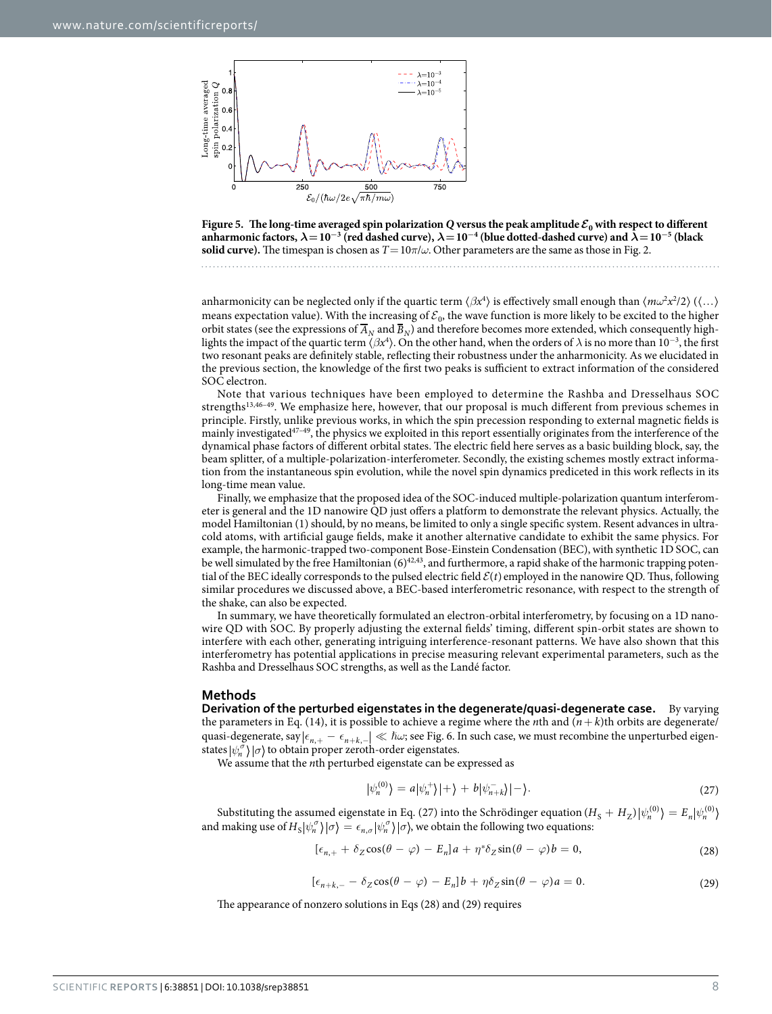

<span id="page-7-0"></span>

anharmonicity can be neglected only if the quartic term  $\langle \beta x^4 \rangle$  is effectively small enough than  $\langle m\omega^2 x^2/2 \rangle$   $(\langle ... \rangle$ means expectation value). With the increasing of  $\mathcal{E}_0$ , the wave function is more likely to be excited to the higher orbit states (see the expressions of  $\overline{A}_N$  and  $\overline{B}_N$ ) and therefore becomes more extended, which consequently highlights the impact of the quartic term  $\langle\beta x^4\rangle$ . On the other hand, when the orders of  $\lambda$  is no more than 10<sup>-3</sup>, the first two resonant peaks are definitely stable, reflecting their robustness under the anharmonicity. As we elucidated in the previous section, the knowledge of the first two peaks is sufficient to extract information of the considered SOC electron.

Note that various techniques have been employed to determine the Rashba and Dresselhaus SOC strengths[13,](#page-10-4)[46–49.](#page-11-8) We emphasize here, however, that our proposal is much different from previous schemes in principle. Firstly, unlike previous works, in which the spin precession responding to external magnetic fields is mainly investigated<sup>47-49</sup>, the physics we exploited in this report essentially originates from the interference of the dynamical phase factors of different orbital states. The electric field here serves as a basic building block, say, the beam splitter, of a multiple-polarization-interferometer. Secondly, the existing schemes mostly extract information from the instantaneous spin evolution, while the novel spin dynamics prediceted in this work reflects in its long-time mean value.

Finally, we emphasize that the proposed idea of the SOC-induced multiple-polarization quantum interferometer is general and the 1D nanowire QD just offers a platform to demonstrate the relevant physics. Actually, the model Hamiltonian (1) should, by no means, be limited to only a single specific system. Resent advances in ultracold atoms, with artificial gauge fields, make it another alternative candidate to exhibit the same physics. For example, the harmonic-trapped two-component Bose-Einstein Condensation (BEC), with synthetic 1D SOC, can be well simulated by the free Hamiltonian  $(6)^{42,43}$ , and furthermore, a rapid shake of the harmonic trapping potential of the BEC ideally corresponds to the pulsed electric field  $\mathcal{E}(t)$  employed in the nanowire QD. Thus, following similar procedures we discussed above, a BEC-based interferometric resonance, with respect to the strength of the shake, can also be expected.

In summary, we have theoretically formulated an electron-orbital interferometry, by focusing on a 1D nanowire QD with SOC. By properly adjusting the external fields' timing, different spin-orbit states are shown to interfere with each other, generating intriguing interference-resonant patterns. We have also shown that this interferometry has potential applications in precise measuring relevant experimental parameters, such as the Rashba and Dresselhaus SOC strengths, as well as the Landé factor.

#### **Methods**

**Derivation of the perturbed eigenstates in the degenerate/quasi-degenerate case.** By varying the parameters in Eq. (14), it is possible to achieve a regime where the *n*th and  $(n + k)$ th orbits are degenerate/ quasi-degenerate, say  $|\epsilon_{n,+} - \epsilon_{n+k,-}| \ll \hbar \omega$ ; see [Fig. 6.](#page-8-0) In such case, we must recombine the unperturbed eigenstates  $|\psi_n^{\sigma}\rangle |\sigma\rangle$  to obtain proper zeroth-order eigenstates.

We assume that the *n*th perturbed eigenstate can be expressed as

$$
|\psi_n^{(0)}\rangle = a|\psi_n^{+}\rangle|+\rangle + b|\psi_{n+k}^{-}\rangle|-\rangle. \tag{27}
$$

Substituting the assumed eigenstate in Eq. (27) into the Schrödinger equation ( $H_S + H_Z$ ) $|\psi_n^{(0)}\rangle = E_n |\psi_n^{(0)}\rangle$ and making use of  $H_S|\psi_n^{\sigma}\rangle|\sigma\rangle = \epsilon_{n,\sigma}|\psi_n^{\sigma}\rangle|\sigma\rangle$ , we obtain the following two equations:

$$
[\epsilon_{n,+} + \delta_Z \cos(\theta - \varphi) - E_n]a + \eta^* \delta_Z \sin(\theta - \varphi)b = 0, \qquad (28)
$$

$$
[\epsilon_{n+k,-} - \delta_Z \cos(\theta - \varphi) - E_n]b + \eta \delta_Z \sin(\theta - \varphi)a = 0.
$$
 (29)

The appearance of nonzero solutions in Eqs (28) and (29) requires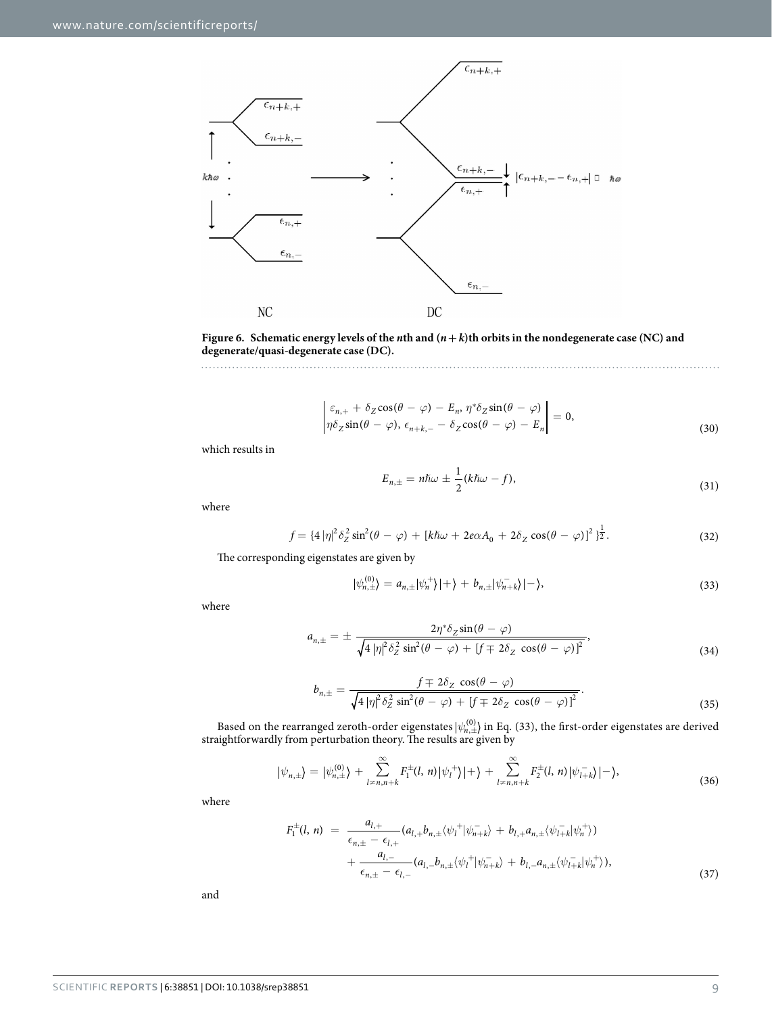

<span id="page-8-0"></span>**Figure 6.** Schematic energy levels of the *n*th and  $(n + k)$ th orbits in the nondegenerate case (NC) and **degenerate/quasi-degenerate case (DC).** 

$$
\begin{vmatrix} \varepsilon_{n,+} + \delta_Z \cos(\theta - \varphi) - E_n, \eta^* \delta_Z \sin(\theta - \varphi) \\ \eta \delta_Z \sin(\theta - \varphi), \epsilon_{n+k,-} - \delta_Z \cos(\theta - \varphi) - E_n \end{vmatrix} = 0,
$$
\n(30)

which results in

$$
E_{n,\pm} = n\hbar\omega \pm \frac{1}{2}(k\hbar\omega - f),\tag{31}
$$

where

$$
f = \{4|\eta|^2 \delta_Z^2 \sin^2(\theta - \varphi) + [k\hbar\omega + 2e\alpha A_0 + 2\delta_Z \cos(\theta - \varphi)]^2\}^{\frac{1}{2}}.
$$
 (32)

The corresponding eigenstates are given by

$$
|\psi_{n,\pm}^{(0)}\rangle = a_{n,\pm}|\psi_n^{+}\rangle|+\rangle + b_{n,\pm}|\psi_{n+k}^{-}\rangle|-\rangle,
$$
\n(33)

where

$$
a_{n,\pm} = \pm \frac{2\eta^* \delta_Z \sin(\theta - \varphi)}{\sqrt{4 |\eta|^2 \delta_Z^2 \sin^2(\theta - \varphi) + [f \mp 2\delta_Z \cos(\theta - \varphi)]^2}},
$$
\n(34)

$$
b_{n,\pm} = \frac{f \mp 2\delta_Z \cos(\theta - \varphi)}{\sqrt{4 |\eta|^2 \delta_Z^2 \sin^2(\theta - \varphi) + [f \mp 2\delta_Z \cos(\theta - \varphi)]^2}}.
$$
\n(35)

Based on the rearranged zeroth-order eigenstates  $|\psi_{n,\pm}^{(0)}\rangle$  in Eq. (33), the first-order eigenstates are derived straightforwardly from perturbation theory. The results are given by

$$
|\psi_{n,\pm}\rangle = |\psi_{n,\pm}^{(0)}\rangle + \sum_{l=n,n+k}^{\infty} F_1^{\pm}(l,n) |\psi_l^+\rangle |+\rangle + \sum_{l=n,n+k}^{\infty} F_2^{\pm}(l,n) |\psi_{l+k}^-\rangle |-\rangle, \tag{36}
$$

where

$$
F_1^{\pm}(l, n) = \frac{a_{l,+}}{\epsilon_{n,\pm} - \epsilon_{l,+}} (a_{l,+} b_{n,\pm} \langle \psi_l^+ | \psi_{n+k}^- \rangle + b_{l,+} a_{n,\pm} \langle \psi_{l+k}^- | \psi_n^+ \rangle) + \frac{a_{l,-}}{\epsilon_{n,\pm} - \epsilon_{l,-}} (a_{l,-} b_{n,\pm} \langle \psi_l^+ | \psi_{n+k}^- \rangle + b_{l,-} a_{n,\pm} \langle \psi_{l+k}^- | \psi_n^+ \rangle),
$$
\n(37)

and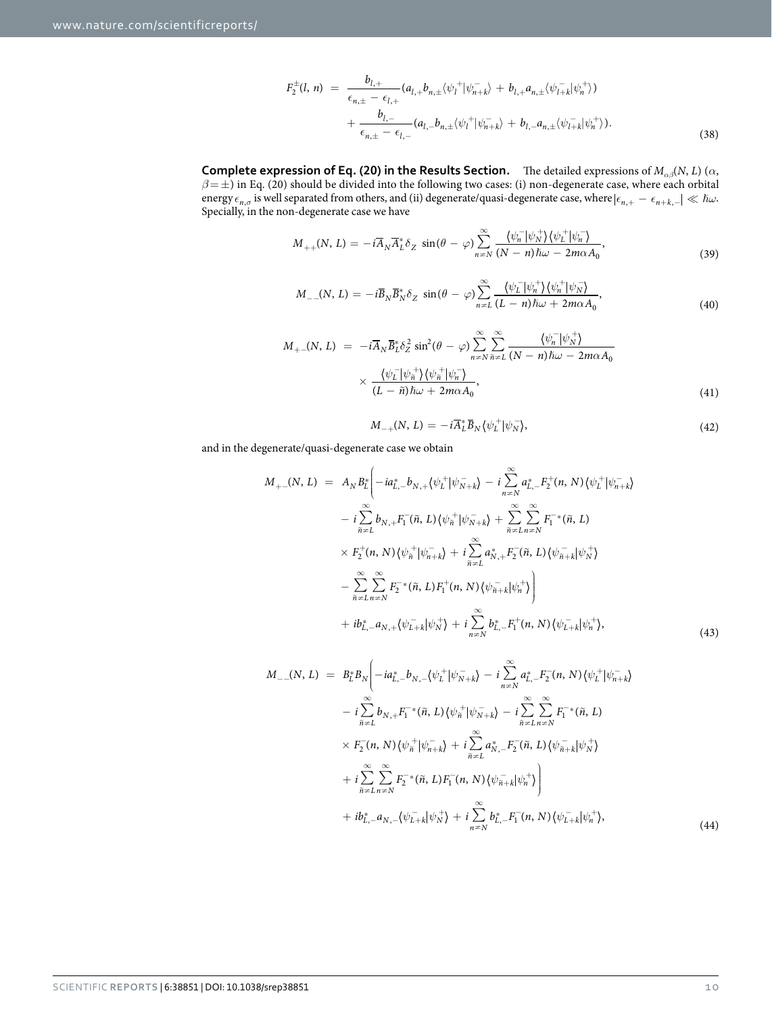$$
F_2^{\pm}(l, n) = \frac{b_{l,+}}{\epsilon_{n,\pm} - \epsilon_{l,+}} (a_{l,+}b_{n,\pm} \langle \psi_l^+ | \psi_{n+k}^- \rangle + b_{l,+}a_{n,\pm} \langle \psi_{l+k}^- | \psi_n^+ \rangle) + \frac{b_{l,-}}{\epsilon_{n,\pm} - \epsilon_{l,-}} (a_{l,-}b_{n,\pm} \langle \psi_l^+ | \psi_{n+k}^- \rangle + b_{l,-}a_{n,\pm} \langle \psi_{l+k}^- | \psi_n^+ \rangle).
$$
(38)

**Complete expression of Eq. (20) in the Results Section.** The detailed expressions of  $M_{\alpha\beta}(N,L)$  ( $\alpha$ , *β*= ±) in Eq. (20) should be divided into the following two cases: (i) non-degenerate case, where each orbital  $\text{energy}\epsilon_{n,\sigma}$  is well separated from others, and (ii) degenerate/quasi-degenerate case, where  $|\epsilon_{n,+}-\epsilon_{n+k,-}| \ll \hbar\omega$ . Specially, in the non-degenerate case we have

$$
M_{++}(N,L) = -i\overline{A}_N \overline{A}_L^* \delta_Z \sin(\theta - \varphi) \sum_{n=N}^{\infty} \frac{\langle \psi_n^- | \psi_N^+ \rangle \langle \psi_L^+ | \psi_n^- \rangle}{(N-n)\hbar\omega - 2m\alpha A_0},\tag{39}
$$

$$
M_{-}(N,L) = -i\overline{B}_{N}\overline{B}_{N}^{*}\delta_{Z} \sin(\theta - \varphi) \sum_{n=1}^{\infty} \frac{\langle \psi_{L}^{-}|\psi_{n}^{+}\rangle \langle \psi_{n}^{+}|\psi_{N}^{-}\rangle}{(L-n)\hslash\omega + 2m\alpha A_{0}},
$$
\n(40)

$$
M_{+-}(N, L) = -i\overline{A}_N \overline{B}_L^* \delta_Z^2 \sin^2(\theta - \varphi) \sum_{n=N}^{\infty} \sum_{\tilde{n}=L}^{\infty} \frac{\langle \psi_n^- | \psi_N^+ \rangle}{(N - n)\hbar \omega - 2m\alpha A_0} \times \frac{\langle \psi_L^- | \psi_n^+ \rangle \langle \psi_n^+ | \psi_n^- \rangle}{(L - \tilde{n})\hbar \omega + 2m\alpha A_0},
$$
\n(41)

$$
M_{-+}(N, L) = -i\overline{A}_{L}^{*}\overline{B}_{N}\langle\psi_{L}^{+}|\psi_{N}^{-}\rangle, \tag{42}
$$

and in the degenerate/quasi-degenerate case we obtain

$$
M_{+-}(N, L) = A_N B_L^* \left( -ia_{L,-}^* b_{N,+} \langle \psi_L^+ | \psi_{N+k}^- \rangle - i \sum_{n \neq N}^{\infty} a_{L,-}^* F_2^+(n, N) \langle \psi_L^+ | \psi_{n+k}^- \rangle \right)
$$
  

$$
- i \sum_{\tilde{n} \neq L}^{\infty} b_{N,+} F_1^-(\tilde{n}, L) \langle \psi_{\tilde{n}}^+ | \psi_{N+k}^- \rangle + \sum_{\tilde{n} \neq L}^{\infty} \sum_{n \neq N}^{\infty} F_1^{-*}(\tilde{n}, L)
$$
  

$$
\times F_2^+(n, N) \langle \psi_{\tilde{n}}^+ | \psi_{n+k}^- \rangle + i \sum_{\tilde{n} \neq L}^{\infty} a_{N,+}^* F_2^-(\tilde{n}, L) \langle \psi_{\tilde{n}+k}^- | \psi_N^+ \rangle
$$
  

$$
- \sum_{\tilde{n} \neq L}^{\infty} \sum_{n \neq N}^{\infty} F_2^{-*}(\tilde{n}, L) F_1^+(n, N) \langle \psi_{\tilde{n}+k}^- | \psi_{n}^+ \rangle \right)
$$
  

$$
+ ib_{L,-}^* a_{N,+} \langle \psi_{L+k}^- | \psi_N^+ \rangle + i \sum_{n \neq N}^{\infty} b_{L,-}^* F_1^+(n, N) \langle \psi_{L+k}^- | \psi_n^+ \rangle,
$$
  
(43)

$$
M_{-}(N, L) = B_{L}^{*} B_{N} \bigg( -ia_{L,-}^{*} b_{N,-} \langle \psi_{L}^{+} | \psi_{N+k}^{-} \rangle - i \sum_{n=N}^{\infty} a_{L,-}^{*} F_{2}^{-}(n, N) \langle \psi_{L}^{+} | \psi_{n+k}^{-} \rangle - i \sum_{\tilde{n} \neq L}^{\infty} b_{N,+} F_{1}^{-*}(\tilde{n}, L) \langle \psi_{\tilde{n}}^{+} | \psi_{N+k}^{-} \rangle - i \sum_{\tilde{n} \neq L}^{\infty} \sum_{n=N}^{\infty} F_{1}^{-*}(\tilde{n}, L) \times F_{2}^{-}(n, N) \langle \psi_{\tilde{n}}^{+} | \psi_{n+k}^{-} \rangle + i \sum_{\tilde{n} \neq L}^{\infty} a_{N,-}^{*} F_{2}^{-}(\tilde{n}, L) \langle \psi_{\tilde{n}+k}^{-} | \psi_{N}^{+} \rangle + i \sum_{\tilde{n} \neq L}^{\infty} \sum_{n=N}^{\infty} F_{2}^{-*}(\tilde{n}, L) F_{1}^{-}(n, N) \langle \psi_{\tilde{n}+k}^{-} | \psi_{n}^{+} \rangle \bigg) + ib_{L,-}^{*} a_{N,-} \langle \psi_{L+k}^{-} | \psi_{N}^{+} \rangle + i \sum_{n=N}^{\infty} b_{L,-}^{*} F_{1}^{-}(n, N) \langle \psi_{L+k}^{-} | \psi_{n}^{+} \rangle, \tag{44}
$$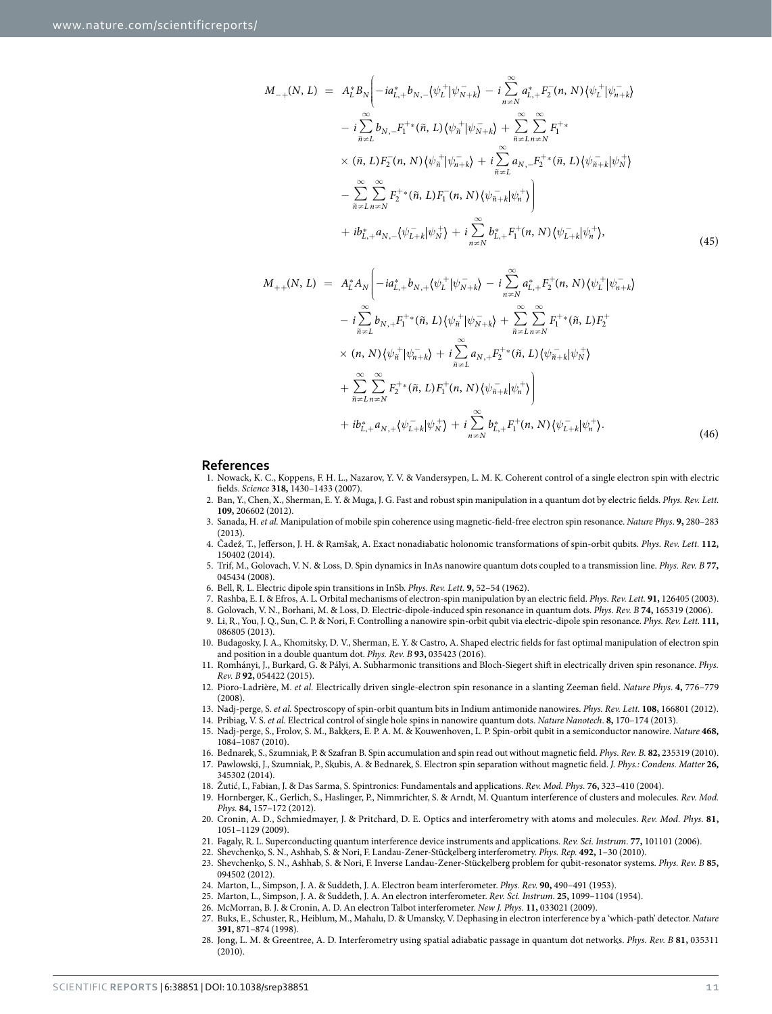$$
M_{-+}(N, L) = A_{L}^{*} B_{N} \Biggl( -ia_{L,+}^{*} b_{N,-} \langle \psi_{L}^{+} | \psi_{N+k}^{-} \rangle - i \sum_{n=N}^{\infty} a_{L,+}^{*} F_{2}^{-}(n, N) \langle \psi_{L}^{+} | \psi_{n+k}^{-} \rangle - i \sum_{\tilde{n}\neq L}^{\infty} b_{N,-} F_{1}^{+*}(\tilde{n}, L) \langle \psi_{\tilde{n}}^{+} | \psi_{N+k}^{-} \rangle + \sum_{\tilde{n}\neq L}^{\infty} \sum_{n=N}^{\infty} F_{1}^{+*} \times (\tilde{n}, L) F_{2}^{-}(n, N) \langle \psi_{\tilde{n}}^{+} | \psi_{n+k}^{-} \rangle + i \sum_{\tilde{n}\neq L}^{\infty} a_{N,-} F_{2}^{+*}(\tilde{n}, L) \langle \psi_{\tilde{n}+k}^{-} | \psi_{N}^{+} \rangle - \sum_{\tilde{n}\neq L}^{\infty} \sum_{n=N}^{\infty} F_{2}^{+*}(\tilde{n}, L) F_{1}^{-}(n, N) \langle \psi_{\tilde{n}+k}^{-} | \psi_{n}^{+} \rangle \Biggr) + ib_{L,+}^{*} a_{N,-} \langle \psi_{L+k}^{-} | \psi_{N}^{+} \rangle + i \sum_{n=N}^{\infty} b_{L,+}^{*} F_{1}^{+}(n, N) \langle \psi_{L+k}^{-} | \psi_{n}^{+} \rangle, \tag{45}
$$

$$
M_{++}(N, L) = A_L^* A_N \bigg( -ia_{L,+}^* b_{N,+} \langle \psi_L^+ | \psi_{N+k}^- \rangle - i \sum_{n \neq N}^{\infty} a_{L,+}^* F_2^+(n, N) \langle \psi_L^+ | \psi_{n+k}^- \rangle - i \sum_{\tilde{n} \neq L}^{\infty} b_{N,+} F_1^{+*}(\tilde{n}, L) \langle \psi_{\tilde{n}}^+ | \psi_{N+k}^- \rangle + \sum_{\tilde{n} \neq L}^{\infty} \sum_{n \neq N}^{\infty} F_1^{+*}(\tilde{n}, L) F_2^+ \times (n, N) \langle \psi_{\tilde{n}}^+ | \psi_{n+k}^- \rangle + i \sum_{\tilde{n} \neq L}^{\infty} a_{N,+} F_2^{+*}(\tilde{n}, L) \langle \psi_{\tilde{n}+k}^- | \psi_N^+ \rangle + \sum_{\tilde{n} \neq L}^{\infty} \sum_{n \neq N}^{\infty} F_2^{+*}(\tilde{n}, L) F_1^+(n, N) \langle \psi_{\tilde{n}+k}^- | \psi_{n}^+ \rangle \bigg) + ib_{L,+}^* a_{N,+} \langle \psi_{L+k}^- | \psi_N^+ \rangle + i \sum_{n \neq N}^{\infty} b_{L,+}^* F_1^+(n, N) \langle \psi_{L+k}^- | \psi_n^+ \rangle.
$$
\n(46)

#### **References**

- <span id="page-10-0"></span>1. Nowack, K. C., Koppens, F. H. L., Nazarov, Y. V. & Vandersypen, L. M. K. Coherent control of a single electron spin with electric fields. *Science* **318,** 1430–1433 (2007).
- 2. Ban, Y., Chen, X., Sherman, E. Y. & Muga, J. G. Fast and robust spin manipulation in a quantum dot by electric fields. *Phys. Rev. Lett.* **109,** 206602 (2012).
- 3. Sanada, H. *et al.* Manipulation of mobile spin coherence using magnetic-field-free electron spin resonance. *Nature Phys*. **9,** 280–283  $(2013)$
- <span id="page-10-11"></span>4. Čadež, T., Jefferson, J. H. & Ramšak, A. Exact nonadiabatic holonomic transformations of spin-orbit qubits. *Phys. Rev. Lett.* **112,** 150402 (2014).
- 5. Trif, M., Golovach, V. N. & Loss, D. Spin dynamics in InAs nanowire quantum dots coupled to a transmission line. *Phys. Rev. B* **77,** 045434 (2008).
- <span id="page-10-1"></span>6. Bell, R. L. Electric dipole spin transitions in InSb. *Phys. Rev. Lett.* **9,** 52–54 (1962).
- 7. Rashba, E. I. & Efros, A. L. Orbital mechanisms of electron-spin manipulation by an electric field. *Phys. Rev. Lett.* **91,** 126405 (2003).
- 8. Golovach, V. N., Borhani, M. & Loss, D. Electric-dipole-induced spin resonance in quantum dots. *Phys. Rev. B* **74,** 165319 (2006).
- <span id="page-10-2"></span>9. Li, R., You, J. Q., Sun, C. P. & Nori, F. Controlling a nanowire spin-orbit qubit via electric-dipole spin resonance. *Phys. Rev. Lett.* **111,** 086805 (2013).
- 10. Budagosky, J. A., Khomitsky, D. V., Sherman, E. Y. & Castro, A. Shaped electric fields for fast optimal manipulation of electron spin and position in a double quantum dot. *Phys. Rev. B* **93,** 035423 (2016).
- 11. Romhányi, J., Burkard, G. & Pályi, A. Subharmonic transitions and Bloch-Siegert shift in electrically driven spin resonance. *Phys. Rev. B* **92,** 054422 (2015).
- <span id="page-10-3"></span>12. Pioro-Ladrière, M. *et al.* Electrically driven single-electron spin resonance in a slanting Zeeman field. *Nature Phys*. **4,** 776–779 (2008).
- <span id="page-10-4"></span>13. Nadj-perge, S. *et al.* Spectroscopy of spin-orbit quantum bits in Indium antimonide nanowires. *Phys. Rev. Lett.* **108,** 166801 (2012).
- 14. Pribiag, V. S. *et al.* Electrical control of single hole spins in nanowire quantum dots. *Nature Nanotech*. **8,** 170–174 (2013).
- <span id="page-10-5"></span>15. Nadj-perge, S., Frolov, S. M., Bakkers, E. P. A. M. & Kouwenhoven, L. P. Spin-orbit qubit in a semiconductor nanowire. *Nature* **468,** 1084–1087 (2010).
- <span id="page-10-7"></span><span id="page-10-6"></span>16. Bednarek, S., Szumniak, P. & Szafran B. Spin accumulation and spin read out without magnetic field. *Phys. Rev. B.* **82,** 235319 (2010).
- 17. Pawlowski, J., Szumniak, P., Skubis, A. & Bednarek, S. Electron spin separation without magnetic field. *J. Phys.: Condens. Matter* **26,** 345302 (2014).
- <span id="page-10-8"></span>18. Žutić, I., Fabian, J. & Das Sarma, S. Spintronics: Fundamentals and applications. *Rev. Mod. Phys.* **76,** 323–410 (2004).
- <span id="page-10-9"></span>19. Hornberger, K., Gerlich, S., Haslinger, P., Nimmrichter, S. & Arndt, M. Quantum interference of clusters and molecules. *Rev. Mod. Phys.* **84,** 157–172 (2012).
- 20. Cronin, A. D., Schmiedmayer, J. & Pritchard, D. E. Optics and interferometry with atoms and molecules. *Rev. Mod. Phys.* **81,** 1051–1129 (2009).
- 21. Fagaly, R. L. Superconducting quantum interference device instruments and applications. *Rev. Sci. Instrum*. **77,** 101101 (2006).
- 22. Shevchenko, S. N., Ashhab, S. & Nori, F. Landau-Zener-Stückelberg interferometry. *Phys. Rep.* **492,** 1–30 (2010).
- 23. Shevchenko, S. N., Ashhab, S. & Nori, F. Inverse Landau-Zener-Stückelberg problem for qubit-resonator systems. *Phys. Rev. B* **85,** 094502 (2012).
- <span id="page-10-10"></span>24. Marton, L., Simpson, J. A. & Suddeth, J. A. Electron beam interferometer. *Phys. Rev.* **90,** 490–491 (1953).
- 25. Marton, L., Simpson, J. A. & Suddeth, J. A. An electron interferometer. *Rev. Sci. Instrum*. **25,** 1099–1104 (1954).
- 26. McMorran, B. J. & Cronin, A. D. An electron Talbot interferometer. *New J. Phys.* **11,** 033021 (2009).
- 27. Buks, E., Schuster, R., Heiblum, M., Mahalu, D. & Umansky, V. Dephasing in electron interference by a 'which-path' detector. *Nature* **391,** 871–874 (1998).
- 28. Jong, L. M. & Greentree, A. D. Interferometry using spatial adiabatic passage in quantum dot networks. *Phys. Rev. B* **81,** 035311 (2010).